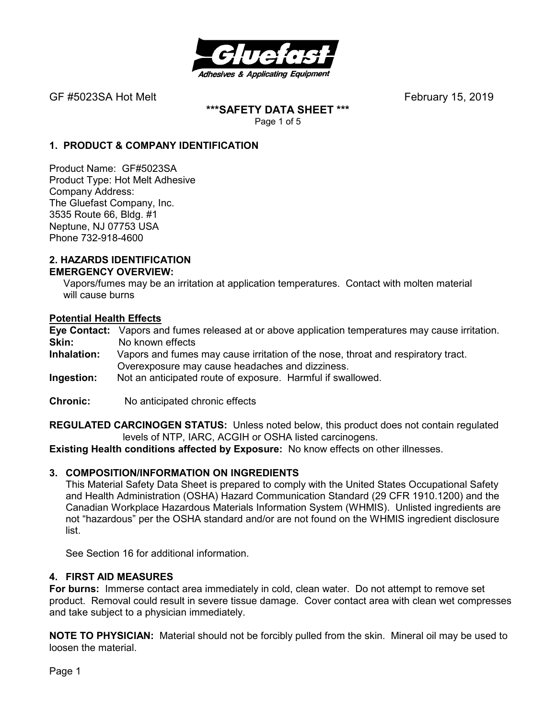

**\*\*\*SAFETY DATA SHEET \*\*\***  Page 1 of 5

## **1. PRODUCT & COMPANY IDENTIFICATION**

Product Name: GF#5023SA Product Type: Hot Melt Adhesive Company Address: The Gluefast Company, Inc. 3535 Route 66, Bldg. #1 Neptune, NJ 07753 USA Phone 732-918-4600

#### **2. HAZARDS IDENTIFICATION EMERGENCY OVERVIEW:**

 Vapors/fumes may be an irritation at application temperatures. Contact with molten material will cause burns

## **Potential Health Effects**

**Eye Contact:** Vapors and fumes released at or above application temperatures may cause irritation. **Skin:** No known effects<br>**Inhalation:** Vapors and fumes

- **Inhalation:** Vapors and fumes may cause irritation of the nose, throat and respiratory tract. Overexposure may cause headaches and dizziness.
- **Ingestion:** Not an anticipated route of exposure. Harmful if swallowed.
- **Chronic:** No anticipated chronic effects

**REGULATED CARCINOGEN STATUS:** Unless noted below, this product does not contain regulated levels of NTP, IARC, ACGIH or OSHA listed carcinogens.

**Existing Health conditions affected by Exposure:** No know effects on other illnesses.

## **3. COMPOSITION/INFORMATION ON INGREDIENTS**

This Material Safety Data Sheet is prepared to comply with the United States Occupational Safety and Health Administration (OSHA) Hazard Communication Standard (29 CFR 1910.1200) and the Canadian Workplace Hazardous Materials Information System (WHMIS). Unlisted ingredients are not "hazardous" per the OSHA standard and/or are not found on the WHMIS ingredient disclosure list.

See Section 16 for additional information.

#### **4. FIRST AID MEASURES**

**For burns:** Immerse contact area immediately in cold, clean water. Do not attempt to remove set product. Removal could result in severe tissue damage. Cover contact area with clean wet compresses and take subject to a physician immediately.

**NOTE TO PHYSICIAN:** Material should not be forcibly pulled from the skin. Mineral oil may be used to loosen the material.

Page 1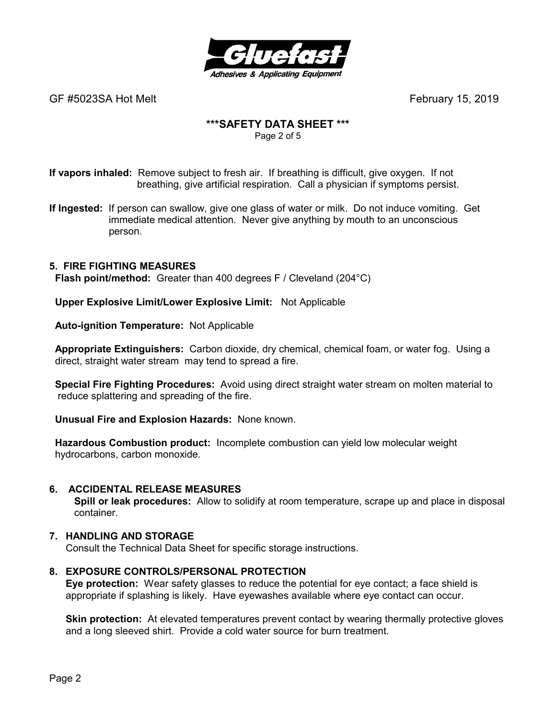

## **\*\*\*SAFETY DATA SHEET \*\*\***

Page 2 of 5

**If vapors inhaled:** Remove subject to fresh air. If breathing is difficult, give oxygen. If not breathing, give artificial respiration. Call a physician if symptoms persist.

**If Ingested:** If person can swallow, give one glass of water or milk. Do not induce vomiting. Get immediate medical attention. Never give anything by mouth to an unconscious person.

## **5. FIRE FIGHTING MEASURES**

 **Flash point/method:** Greater than 400 degrees F / Cleveland (204°C)

 **Upper Explosive Limit/Lower Explosive Limit:** Not Applicable

 **Auto-ignition Temperature:** Not Applicable

 **Appropriate Extinguishers:** Carbon dioxide, dry chemical, chemical foam, or water fog. Using a direct, straight water stream may tend to spread a fire.

 **Special Fire Fighting Procedures:** Avoid using direct straight water stream on molten material to reduce splattering and spreading of the fire.

 **Unusual Fire and Explosion Hazards:** None known.

 **Hazardous Combustion product:** Incomplete combustion can yield low molecular weight hydrocarbons, carbon monoxide.

## **6. ACCIDENTAL RELEASE MEASURES**

 **Spill or leak procedures:** Allow to solidify at room temperature, scrape up and place in disposal container.

## **7. HANDLING AND STORAGE**

Consult the Technical Data Sheet for specific storage instructions.

## **8. EXPOSURE CONTROLS/PERSONAL PROTECTION**

**Eye protection:** Wear safety glasses to reduce the potential for eye contact; a face shield is appropriate if splashing is likely. Have eyewashes available where eye contact can occur.

**Skin protection:** At elevated temperatures prevent contact by wearing thermally protective gloves and a long sleeved shirt. Provide a cold water source for burn treatment.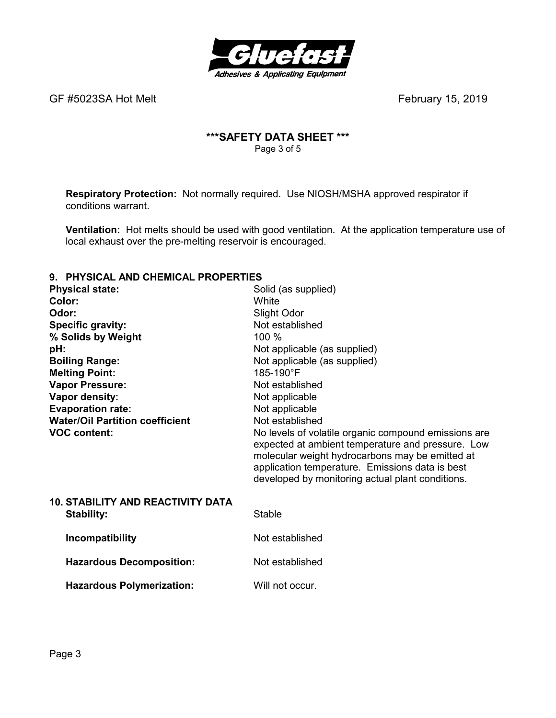

## **\*\*\*SAFETY DATA SHEET \*\*\***  Page 3 of 5

**Respiratory Protection:** Not normally required.Use NIOSH/MSHA approved respirator if conditions warrant.

**Ventilation:** Hot melts should be used with good ventilation. At the application temperature use of local exhaust over the pre-melting reservoir is encouraged.

## **9. PHYSICAL AND CHEMICAL PROPERTIES**

| <u>FILLOIGHL AND GHLINIGHL FINDELINILLO</u> |                                                                                                                                                                                                                                                                     |
|---------------------------------------------|---------------------------------------------------------------------------------------------------------------------------------------------------------------------------------------------------------------------------------------------------------------------|
| <b>Physical state:</b>                      | Solid (as supplied)                                                                                                                                                                                                                                                 |
| Color:                                      | White                                                                                                                                                                                                                                                               |
| Odor:                                       | Slight Odor                                                                                                                                                                                                                                                         |
| <b>Specific gravity:</b>                    | Not established                                                                                                                                                                                                                                                     |
| % Solids by Weight                          | $100\%$                                                                                                                                                                                                                                                             |
| pH:                                         | Not applicable (as supplied)                                                                                                                                                                                                                                        |
| <b>Boiling Range:</b>                       | Not applicable (as supplied)                                                                                                                                                                                                                                        |
| <b>Melting Point:</b>                       | 185-190°F                                                                                                                                                                                                                                                           |
| <b>Vapor Pressure:</b>                      | Not established                                                                                                                                                                                                                                                     |
| Vapor density:                              | Not applicable                                                                                                                                                                                                                                                      |
| <b>Evaporation rate:</b>                    | Not applicable                                                                                                                                                                                                                                                      |
| <b>Water/Oil Partition coefficient</b>      | Not established                                                                                                                                                                                                                                                     |
| <b>VOC content:</b>                         | No levels of volatile organic compound emissions are<br>expected at ambient temperature and pressure. Low<br>molecular weight hydrocarbons may be emitted at<br>application temperature. Emissions data is best<br>developed by monitoring actual plant conditions. |
| <b>10. STABILITY AND REACTIVITY DATA</b>    |                                                                                                                                                                                                                                                                     |
| Stability:                                  | Stable                                                                                                                                                                                                                                                              |
| Incompatibility                             | Not established                                                                                                                                                                                                                                                     |
| <b>Hazardous Decomposition:</b>             | Not established                                                                                                                                                                                                                                                     |
| <b>Hazardous Polymerization:</b>            | Will not occur.                                                                                                                                                                                                                                                     |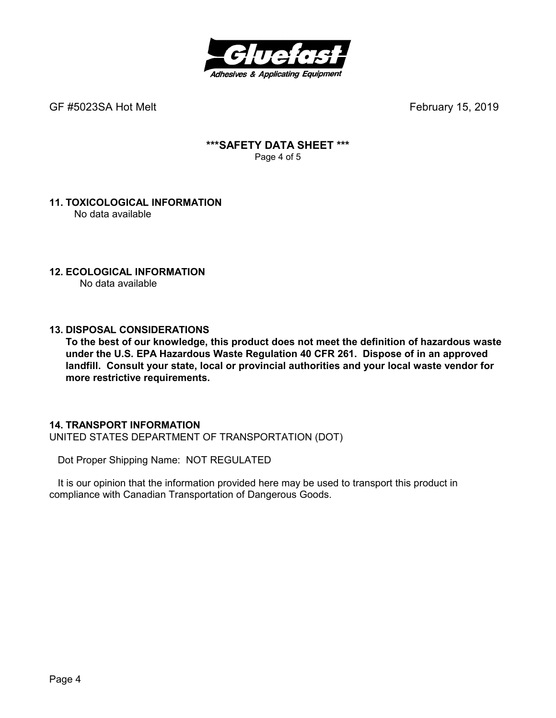

GF #5023SA Hot Melt **GF #5023SA Hot Melt February 15, 2019** 

## **\*\*\*SAFETY DATA SHEET \*\*\***  Page 4 of 5

## **11. TOXICOLOGICAL INFORMATION**  No data available

#### **12. ECOLOGICAL INFORMATION** No data available

## **13. DISPOSAL CONSIDERATIONS**

**To the best of our knowledge, this product does not meet the definition of hazardous waste under the U.S. EPA Hazardous Waste Regulation 40 CFR 261. Dispose of in an approved landfill. Consult your state, local or provincial authorities and your local waste vendor for more restrictive requirements.** 

## **14. TRANSPORT INFORMATION**

UNITED STATES DEPARTMENT OF TRANSPORTATION (DOT)

Dot Proper Shipping Name: NOT REGULATED

 It is our opinion that the information provided here may be used to transport this product in compliance with Canadian Transportation of Dangerous Goods.